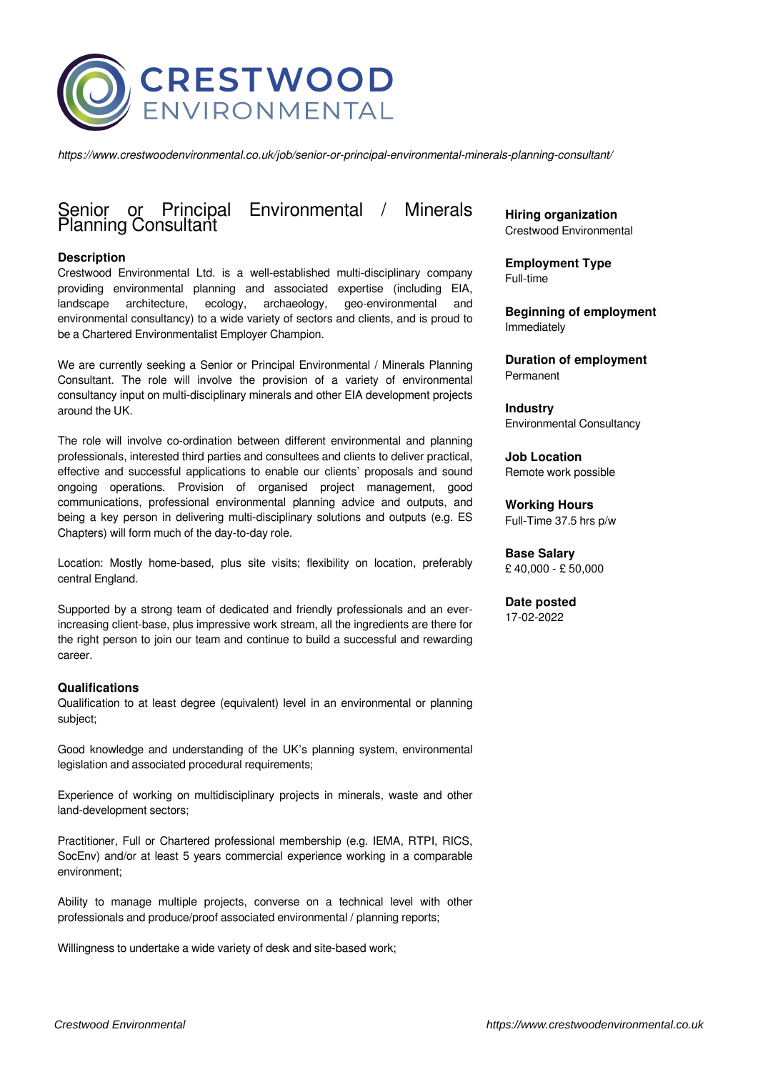

*https://www.crestwoodenvironmental.co.uk/job/senior-or-principal-environmental-minerals-planning-consultant/*

# Principal Environmental / Minerals Senior or Principa<br>Planning Consultant

## **Description**

Crestwood Environmental Ltd. is a well-established multi-disciplinary company providing environmental planning and associated expertise (including EIA, landscape architecture, ecology, archaeology, geo-environmental and environmental consultancy) to a wide variety of sectors and clients, and is proud to be a Chartered Environmentalist Employer Champion.

We are currently seeking a Senior or Principal Environmental / Minerals Planning Consultant. The role will involve the provision of a variety of environmental consultancy input on multi-disciplinary minerals and other EIA development projects around the UK.

The role will involve co-ordination between different environmental and planning professionals, interested third parties and consultees and clients to deliver practical, effective and successful applications to enable our clients' proposals and sound ongoing operations. Provision of organised project management, good communications, professional environmental planning advice and outputs, and being a key person in delivering multi-disciplinary solutions and outputs (e.g. ES Chapters) will form much of the day-to-day role.

Location: Mostly home-based, plus site visits; flexibility on location, preferably central England.

Supported by a strong team of dedicated and friendly professionals and an everincreasing client-base, plus impressive work stream, all the ingredients are there for the right person to join our team and continue to build a successful and rewarding career.

## **Qualifications**

Qualification to at least degree (equivalent) level in an environmental or planning subject;

Good knowledge and understanding of the UK's planning system, environmental legislation and associated procedural requirements;

Experience of working on multidisciplinary projects in minerals, waste and other land-development sectors;

Practitioner, Full or Chartered professional membership (e.g. IEMA, RTPI, RICS, SocEnv) and/or at least 5 years commercial experience working in a comparable environment;

Ability to manage multiple projects, converse on a technical level with other professionals and produce/proof associated environmental / planning reports;

Willingness to undertake a wide variety of desk and site-based work;

**Hiring organization** Crestwood Environmental

**Employment Type** Full-time

**Beginning of employment** Immediately

**Duration of employment** Permanent

**Industry** Environmental Consultancy

**Job Location** Remote work possible

**Working Hours** Full-Time 37.5 hrs p/w

**Base Salary** £ 40,000 - £ 50,000

**Date posted** 17-02-2022